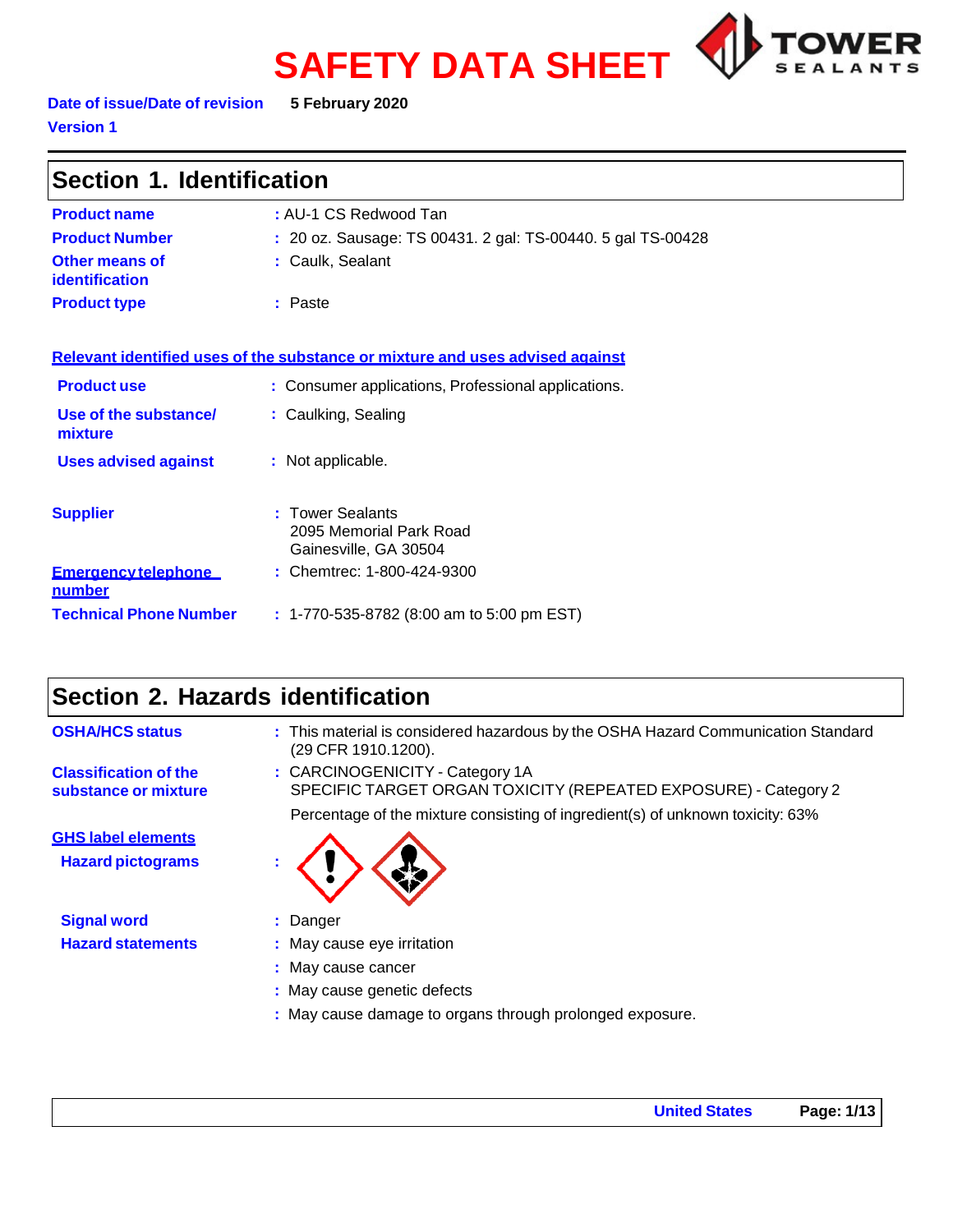# **SAFETY DATA SHEET**



#### **Date of issue/Date of revision 5 February 2020 Version 1**

| Section 1. Identification                      |                                                                               |  |
|------------------------------------------------|-------------------------------------------------------------------------------|--|
| <b>Product name</b>                            | : AU-1 CS Redwood Tan                                                         |  |
| <b>Product Number</b>                          | : 20 oz. Sausage: TS 00431. 2 gal: TS-00440. 5 gal TS-00428                   |  |
| <b>Other means of</b><br><b>identification</b> | : Caulk, Sealant                                                              |  |
| <b>Product type</b>                            | : Paste                                                                       |  |
|                                                |                                                                               |  |
|                                                | Relevant identified uses of the substance or mixture and uses advised against |  |
| <b>Product use</b>                             | : Consumer applications, Professional applications.                           |  |
| Use of the substance/<br>mixture               | : Caulking, Sealing                                                           |  |
| <b>Uses advised against</b>                    | : Not applicable.                                                             |  |
| <b>Supplier</b>                                | : Tower Sealants<br>2095 Memorial Park Road<br>Gainesville, GA 30504          |  |
| <b>Emergency telephone</b><br><u>number</u>    | : Chemtrec: 1-800-424-9300                                                    |  |
| <b>Technical Phone Number</b>                  | $: 1-770-535-8782$ (8:00 am to 5:00 pm EST)                                   |  |

# **Section 2. Hazards identification**

| <b>OSHA/HCS status</b>                                | : This material is considered hazardous by the OSHA Hazard Communication Standard<br>(29 CFR 1910.1200). |
|-------------------------------------------------------|----------------------------------------------------------------------------------------------------------|
| <b>Classification of the</b><br>substance or mixture  | : CARCINOGENICITY - Category 1A<br>SPECIFIC TARGET ORGAN TOXICITY (REPEATED EXPOSURE) - Category 2       |
|                                                       | Percentage of the mixture consisting of ingredient(s) of unknown toxicity: 63%                           |
| <b>GHS label elements</b><br><b>Hazard pictograms</b> |                                                                                                          |
| <b>Signal word</b>                                    | : Danger                                                                                                 |
| <b>Hazard statements</b>                              | : May cause eye irritation                                                                               |
|                                                       | : May cause cancer                                                                                       |
|                                                       | : May cause genetic defects                                                                              |
|                                                       | : May cause damage to organs through prolonged exposure.                                                 |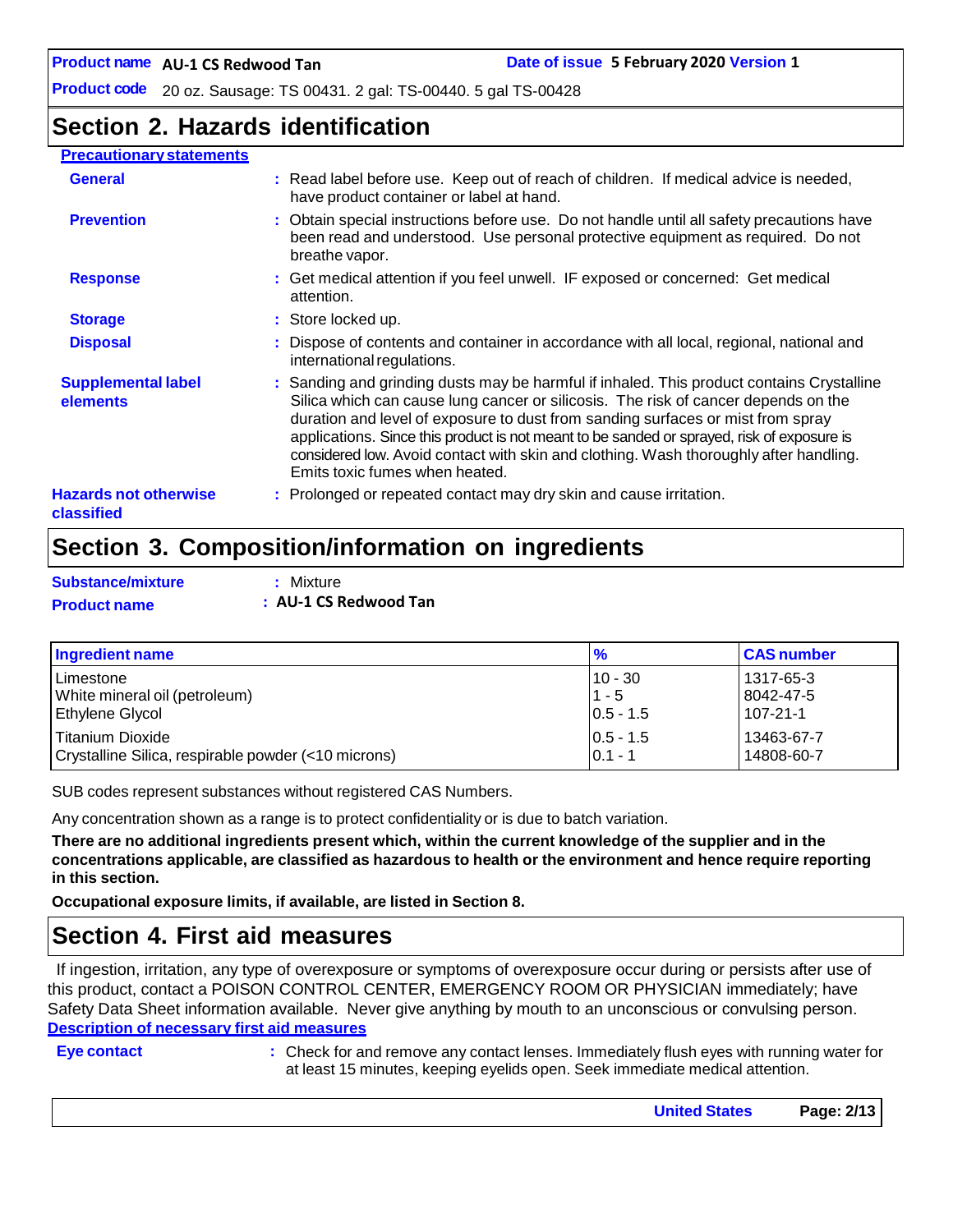**Product code** 20 oz. Sausage: TS 00431. 2 gal: TS-00440. 5 gal TS-00428

# **Section 2. Hazards identification**

#### **Precautionary statements**

| <b>General</b>                             | : Read label before use. Keep out of reach of children. If medical advice is needed,<br>have product container or label at hand.                                                                                                                                                                                                                                                                                                                                                            |
|--------------------------------------------|---------------------------------------------------------------------------------------------------------------------------------------------------------------------------------------------------------------------------------------------------------------------------------------------------------------------------------------------------------------------------------------------------------------------------------------------------------------------------------------------|
| <b>Prevention</b>                          | : Obtain special instructions before use. Do not handle until all safety precautions have<br>been read and understood. Use personal protective equipment as required. Do not<br>breathe vapor.                                                                                                                                                                                                                                                                                              |
| <b>Response</b>                            | : Get medical attention if you feel unwell. IF exposed or concerned: Get medical<br>attention.                                                                                                                                                                                                                                                                                                                                                                                              |
| <b>Storage</b>                             | : Store locked up.                                                                                                                                                                                                                                                                                                                                                                                                                                                                          |
| <b>Disposal</b>                            | : Dispose of contents and container in accordance with all local, regional, national and<br>international regulations.                                                                                                                                                                                                                                                                                                                                                                      |
| <b>Supplemental label</b><br>elements      | : Sanding and grinding dusts may be harmful if inhaled. This product contains Crystalline<br>Silica which can cause lung cancer or silicosis. The risk of cancer depends on the<br>duration and level of exposure to dust from sanding surfaces or mist from spray<br>applications. Since this product is not meant to be sanded or sprayed, risk of exposure is<br>considered low. Avoid contact with skin and clothing. Wash thoroughly after handling.<br>Emits toxic fumes when heated. |
| <b>Hazards not otherwise</b><br>classified | : Prolonged or repeated contact may dry skin and cause irritation.                                                                                                                                                                                                                                                                                                                                                                                                                          |

# **Section 3. Composition/information on ingredients**

| <b>Substance/mixture</b> | : Mixture             |
|--------------------------|-----------------------|
| <b>Product name</b>      | : AU-1 CS Redwood Tan |

| Ingredient name                                     | $\frac{9}{6}$ | <b>CAS number</b> |
|-----------------------------------------------------|---------------|-------------------|
| l Limestone                                         | $10 - 30$     | l 1317-65-3       |
| White mineral oil (petroleum)                       | $1 - 5$       | 8042-47-5         |
| <b>Ethylene Glycol</b>                              | $ 0.5 - 1.5 $ | $107 - 21 - 1$    |
| Titanium Dioxide                                    | $10.5 - 1.5$  | 13463-67-7        |
| Crystalline Silica, respirable powder (<10 microns) | $0.1 - 1$     | 14808-60-7        |

SUB codes represent substances without registered CAS Numbers.

Any concentration shown as a range is to protect confidentiality or is due to batch variation.

There are no additional ingredients present which, within the current knowledge of the supplier and in the **concentrations applicable, are classified as hazardous to health or the environment and hence require reporting in this section.**

**Occupational exposure limits, if available, are listed in Section 8.**

### **Section 4. First aid measures**

If ingestion, irritation, any type of overexposure or symptoms of overexposure occur during or persists after use of this product, contact a POISON CONTROL CENTER, EMERGENCY ROOM OR PHYSICIAN immediately; have Safety Data Sheet information available. Never give anything by mouth to an unconscious or convulsing person. **Description of necessary first aid measures**

**Eye contact :** Check for and remove any contact lenses. Immediately flush eyes with running water for at least 15 minutes, keeping eyelids open. Seek immediate medical attention.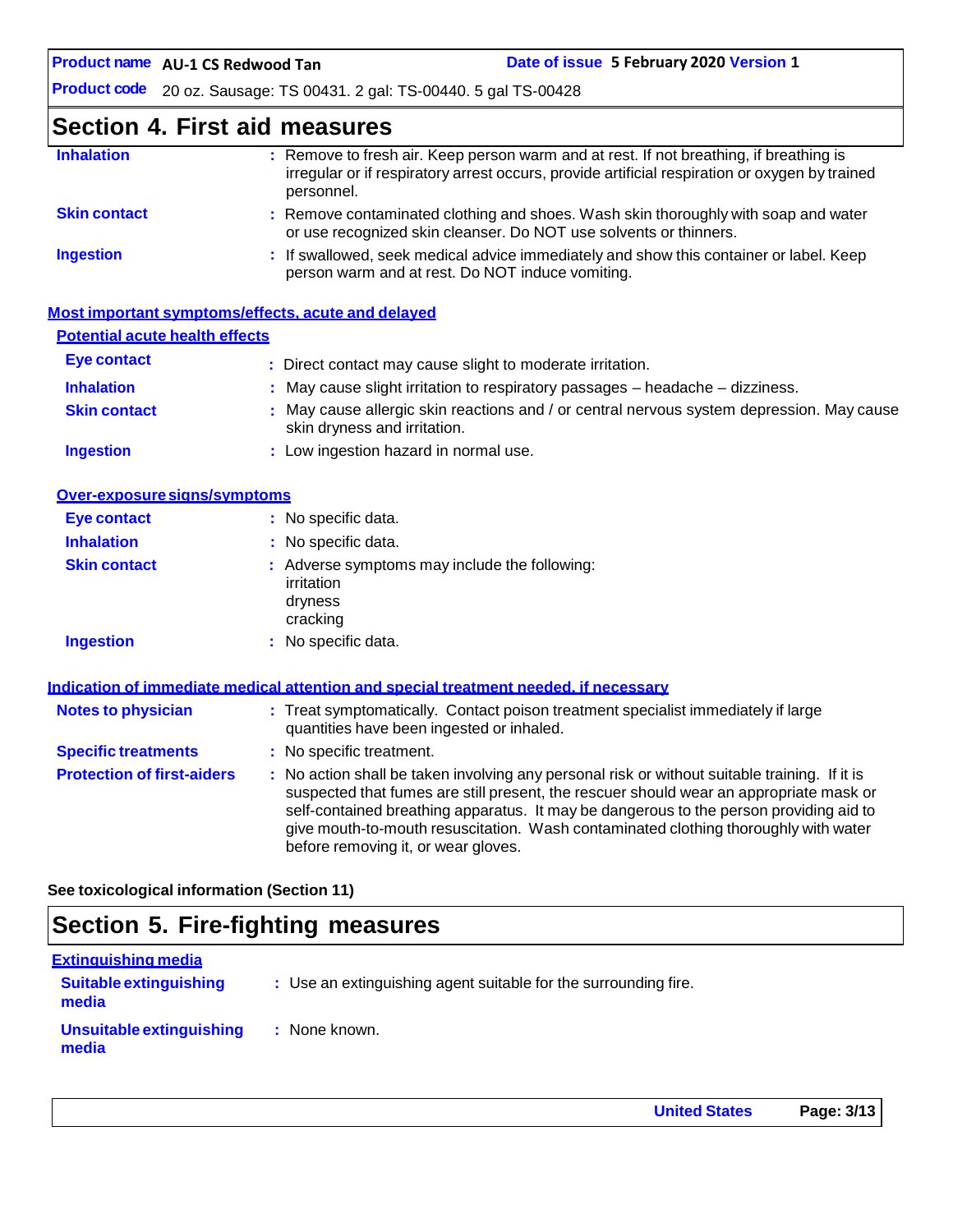**AU-1 CS Redwood Tan Date of issue 5 February 2020 Version 1**

**Product code** 20 oz. Sausage: TS 00431. 2 gal: TS-00440. 5 gal TS-00428

# **Section 4. First aid measures**

| <b>Inhalation</b>   | : Remove to fresh air. Keep person warm and at rest. If not breathing, if breathing is<br>irregular or if respiratory arrest occurs, provide artificial respiration or oxygen by trained<br>personnel. |
|---------------------|--------------------------------------------------------------------------------------------------------------------------------------------------------------------------------------------------------|
| <b>Skin contact</b> | : Remove contaminated clothing and shoes. Wash skin thoroughly with soap and water<br>or use recognized skin cleanser. Do NOT use solvents or thinners.                                                |
| <b>Ingestion</b>    | : If swallowed, seek medical advice immediately and show this container or label. Keep<br>person warm and at rest. Do NOT induce vomiting.                                                             |

|                                       | Most important symptoms/effects, acute and delayed                                                                        |
|---------------------------------------|---------------------------------------------------------------------------------------------------------------------------|
| <b>Potential acute health effects</b> |                                                                                                                           |
| Eye contact                           | : Direct contact may cause slight to moderate irritation.                                                                 |
| <b>Inhalation</b>                     | $\therefore$ May cause slight irritation to respiratory passages $-$ headache $-$ dizziness.                              |
| <b>Skin contact</b>                   | : May cause allergic skin reactions and / or central nervous system depression. May cause<br>skin dryness and irritation. |
| <b>Ingestion</b>                      | : Low ingestion hazard in normal use.                                                                                     |

| Over-exposure signs/symptoms |                                                                                    |
|------------------------------|------------------------------------------------------------------------------------|
| <b>Eye contact</b>           | : No specific data.                                                                |
| <b>Inhalation</b>            | : No specific data.                                                                |
| <b>Skin contact</b>          | : Adverse symptoms may include the following:<br>irritation<br>dryness<br>cracking |
| <b>Ingestion</b>             | : No specific data.                                                                |

|                                   | Indication of immediate medical attention and special treatment needed, if necessary                                                                                                                                                                                                                                                                                                                            |
|-----------------------------------|-----------------------------------------------------------------------------------------------------------------------------------------------------------------------------------------------------------------------------------------------------------------------------------------------------------------------------------------------------------------------------------------------------------------|
| <b>Notes to physician</b>         | : Treat symptomatically. Contact poison treatment specialist immediately if large<br>quantities have been ingested or inhaled.                                                                                                                                                                                                                                                                                  |
| <b>Specific treatments</b>        | : No specific treatment.                                                                                                                                                                                                                                                                                                                                                                                        |
| <b>Protection of first-aiders</b> | : No action shall be taken involving any personal risk or without suitable training. If it is<br>suspected that fumes are still present, the rescuer should wear an appropriate mask or<br>self-contained breathing apparatus. It may be dangerous to the person providing aid to<br>give mouth-to-mouth resuscitation. Wash contaminated clothing thoroughly with water<br>before removing it, or wear gloves. |

**See toxicological information (Section 11)**

# **Section 5. Fire-fighting measures**

| <b>Extinguishing media</b>             |                                                                 |
|----------------------------------------|-----------------------------------------------------------------|
| <b>Suitable extinguishing</b><br>media | : Use an extinguishing agent suitable for the surrounding fire. |
| Unsuitable extinguishing<br>media      | : None known.                                                   |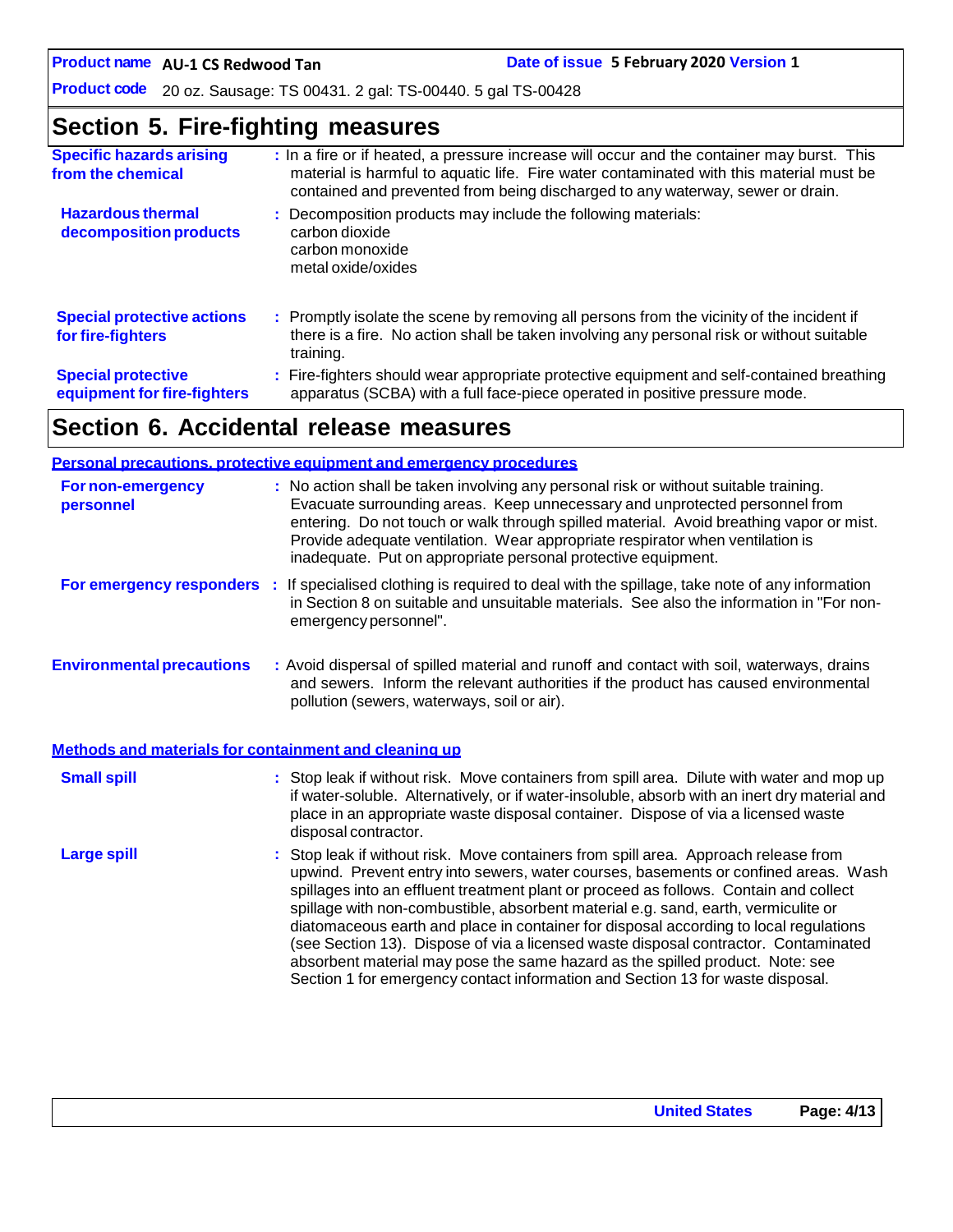**AU-1 CS Redwood Tan Date of issue 5 February 2020 Version 1**

**Product code** 20 oz. Sausage: TS 00431. 2 gal: TS-00440. 5 gal TS-00428

# **Section 5. Fire-fighting measures**

| <b>Specific hazards arising</b><br>from the chemical     | : In a fire or if heated, a pressure increase will occur and the container may burst. This<br>material is harmful to aquatic life. Fire water contaminated with this material must be<br>contained and prevented from being discharged to any waterway, sewer or drain. |
|----------------------------------------------------------|-------------------------------------------------------------------------------------------------------------------------------------------------------------------------------------------------------------------------------------------------------------------------|
| <b>Hazardous thermal</b><br>decomposition products       | : Decomposition products may include the following materials:<br>carbon dioxide<br>carbon monoxide<br>metal oxide/oxides                                                                                                                                                |
| <b>Special protective actions</b><br>for fire-fighters   | : Promptly isolate the scene by removing all persons from the vicinity of the incident if<br>there is a fire. No action shall be taken involving any personal risk or without suitable<br>training.                                                                     |
| <b>Special protective</b><br>equipment for fire-fighters | : Fire-fighters should wear appropriate protective equipment and self-contained breathing<br>apparatus (SCBA) with a full face-piece operated in positive pressure mode.                                                                                                |

# **Section 6. Accidental release measures**

|                                                       | <b>Personal precautions, protective equipment and emergency procedures</b>                                                                                                                                                                                                                                                                                                                                                                                                                                                                                                                                                                                                                                   |
|-------------------------------------------------------|--------------------------------------------------------------------------------------------------------------------------------------------------------------------------------------------------------------------------------------------------------------------------------------------------------------------------------------------------------------------------------------------------------------------------------------------------------------------------------------------------------------------------------------------------------------------------------------------------------------------------------------------------------------------------------------------------------------|
| <b>For non-emergency</b><br>personnel                 | : No action shall be taken involving any personal risk or without suitable training.<br>Evacuate surrounding areas. Keep unnecessary and unprotected personnel from<br>entering. Do not touch or walk through spilled material. Avoid breathing vapor or mist.<br>Provide adequate ventilation. Wear appropriate respirator when ventilation is<br>inadequate. Put on appropriate personal protective equipment.                                                                                                                                                                                                                                                                                             |
|                                                       | For emergency responders : If specialised clothing is required to deal with the spillage, take note of any information<br>in Section 8 on suitable and unsuitable materials. See also the information in "For non-<br>emergency personnel".                                                                                                                                                                                                                                                                                                                                                                                                                                                                  |
| <b>Environmental precautions</b>                      | : Avoid dispersal of spilled material and runoff and contact with soil, waterways, drains<br>and sewers. Inform the relevant authorities if the product has caused environmental<br>pollution (sewers, waterways, soil or air).                                                                                                                                                                                                                                                                                                                                                                                                                                                                              |
| Methods and materials for containment and cleaning up |                                                                                                                                                                                                                                                                                                                                                                                                                                                                                                                                                                                                                                                                                                              |
| <b>Small spill</b>                                    | : Stop leak if without risk. Move containers from spill area. Dilute with water and mop up<br>if water-soluble. Alternatively, or if water-insoluble, absorb with an inert dry material and<br>place in an appropriate waste disposal container. Dispose of via a licensed waste<br>disposal contractor.                                                                                                                                                                                                                                                                                                                                                                                                     |
| <b>Large spill</b>                                    | : Stop leak if without risk. Move containers from spill area. Approach release from<br>upwind. Prevent entry into sewers, water courses, basements or confined areas. Wash<br>spillages into an effluent treatment plant or proceed as follows. Contain and collect<br>spillage with non-combustible, absorbent material e.g. sand, earth, vermiculite or<br>diatomaceous earth and place in container for disposal according to local regulations<br>(see Section 13). Dispose of via a licensed waste disposal contractor. Contaminated<br>absorbent material may pose the same hazard as the spilled product. Note: see<br>Section 1 for emergency contact information and Section 13 for waste disposal. |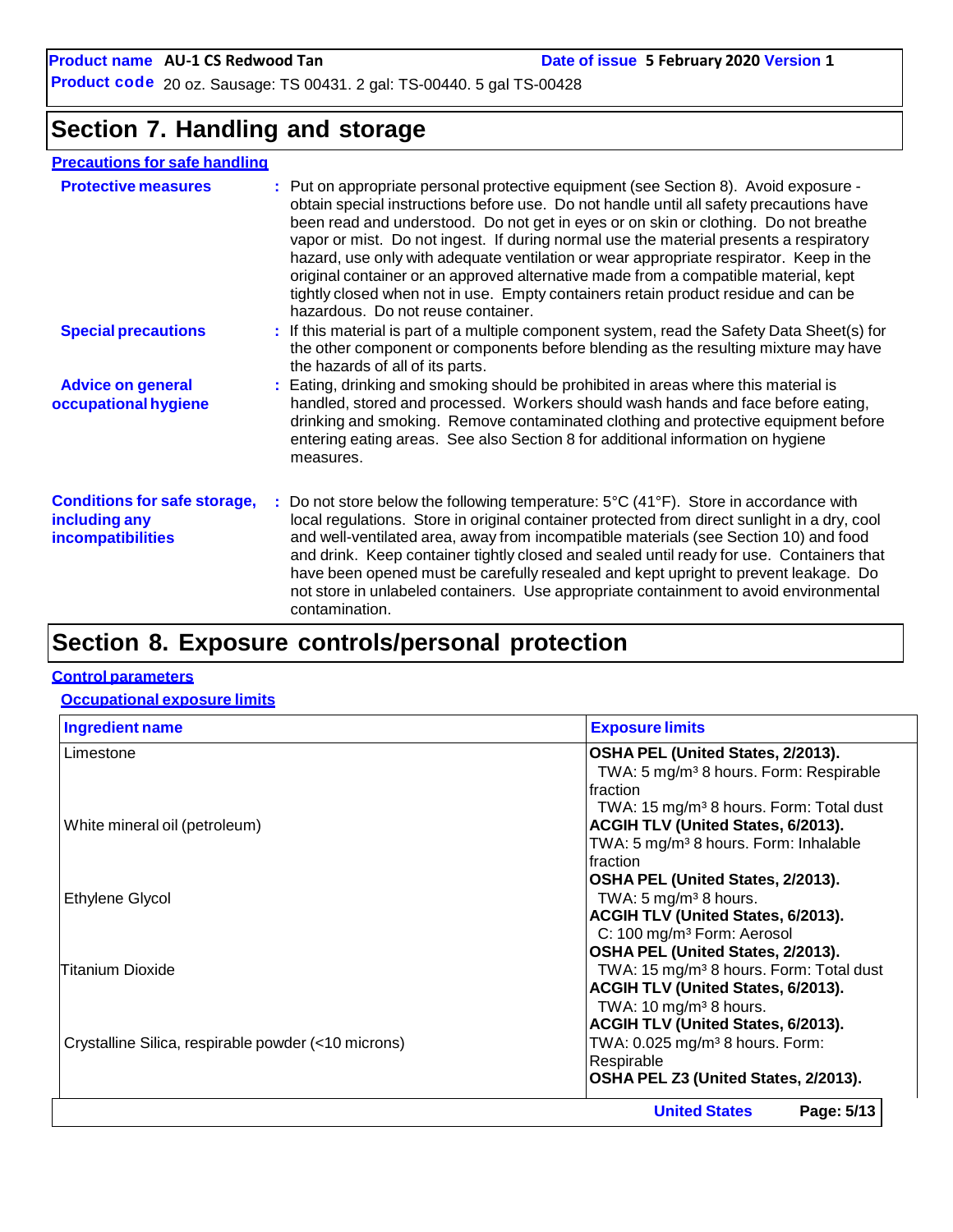**Product name** AU-1 CS Redwood Tan **Date Date** of issue 5 February 2020 Version 1

**Product code** 20 oz. Sausage: TS 00431. 2 gal: TS-00440. 5 gal TS-00428

### **Section 7. Handling and storage**

### **Precautions for safe handling**

| <b>Protective measures</b>                                                | : Put on appropriate personal protective equipment (see Section 8). Avoid exposure -<br>obtain special instructions before use. Do not handle until all safety precautions have<br>been read and understood. Do not get in eyes or on skin or clothing. Do not breathe<br>vapor or mist. Do not ingest. If during normal use the material presents a respiratory<br>hazard, use only with adequate ventilation or wear appropriate respirator. Keep in the<br>original container or an approved alternative made from a compatible material, kept<br>tightly closed when not in use. Empty containers retain product residue and can be<br>hazardous. Do not reuse container. |
|---------------------------------------------------------------------------|-------------------------------------------------------------------------------------------------------------------------------------------------------------------------------------------------------------------------------------------------------------------------------------------------------------------------------------------------------------------------------------------------------------------------------------------------------------------------------------------------------------------------------------------------------------------------------------------------------------------------------------------------------------------------------|
| <b>Special precautions</b>                                                | : If this material is part of a multiple component system, read the Safety Data Sheet(s) for<br>the other component or components before blending as the resulting mixture may have<br>the hazards of all of its parts.                                                                                                                                                                                                                                                                                                                                                                                                                                                       |
| <b>Advice on general</b><br>occupational hygiene                          | : Eating, drinking and smoking should be prohibited in areas where this material is<br>handled, stored and processed. Workers should wash hands and face before eating,<br>drinking and smoking. Remove contaminated clothing and protective equipment before<br>entering eating areas. See also Section 8 for additional information on hygiene<br>measures.                                                                                                                                                                                                                                                                                                                 |
| <b>Conditions for safe storage,</b><br>including any<br>incompatibilities | : Do not store below the following temperature: $5^{\circ}C(41^{\circ}F)$ . Store in accordance with<br>local regulations. Store in original container protected from direct sunlight in a dry, cool<br>and well-ventilated area, away from incompatible materials (see Section 10) and food<br>and drink. Keep container tightly closed and sealed until ready for use. Containers that<br>have been opened must be carefully resealed and kept upright to prevent leakage. Do<br>not store in unlabeled containers. Use appropriate containment to avoid environmental<br>contamination.                                                                                    |
|                                                                           |                                                                                                                                                                                                                                                                                                                                                                                                                                                                                                                                                                                                                                                                               |

# **Section 8. Exposure controls/personal protection**

#### **Control parameters**

#### **Occupational exposure limits**

| <b>Ingredient name</b>                              | <b>Exposure limits</b>                              |
|-----------------------------------------------------|-----------------------------------------------------|
| Limestone                                           | OSHA PEL (United States, 2/2013).                   |
|                                                     | TWA: 5 mg/m <sup>3</sup> 8 hours. Form: Respirable  |
|                                                     | Ifraction                                           |
|                                                     | TWA: 15 mg/m <sup>3</sup> 8 hours. Form: Total dust |
| White mineral oil (petroleum)                       | <b>ACGIH TLV (United States, 6/2013).</b>           |
|                                                     | TWA: 5 mg/m <sup>3</sup> 8 hours. Form: Inhalable   |
|                                                     | Ifraction                                           |
|                                                     | OSHA PEL (United States, 2/2013).                   |
| Ethylene Glycol                                     | TWA: $5 \text{ mg/m}^3$ 8 hours.                    |
|                                                     | <b>ACGIH TLV (United States, 6/2013).</b>           |
|                                                     | C: 100 mg/m <sup>3</sup> Form: Aerosol              |
|                                                     | OSHA PEL (United States, 2/2013).                   |
| <b>Titanium Dioxide</b>                             | TWA: 15 mg/m <sup>3</sup> 8 hours. Form: Total dust |
|                                                     | ACGIH TLV (United States, 6/2013).                  |
|                                                     | TWA: $10 \text{ mg/m}^3$ 8 hours.                   |
|                                                     | ACGIH TLV (United States, 6/2013).                  |
| Crystalline Silica, respirable powder (<10 microns) | TWA: 0.025 mg/m <sup>3</sup> 8 hours. Form:         |
|                                                     | Respirable                                          |
|                                                     | OSHA PEL Z3 (United States, 2/2013).                |
|                                                     | <b>United States</b><br>Page: 5/13                  |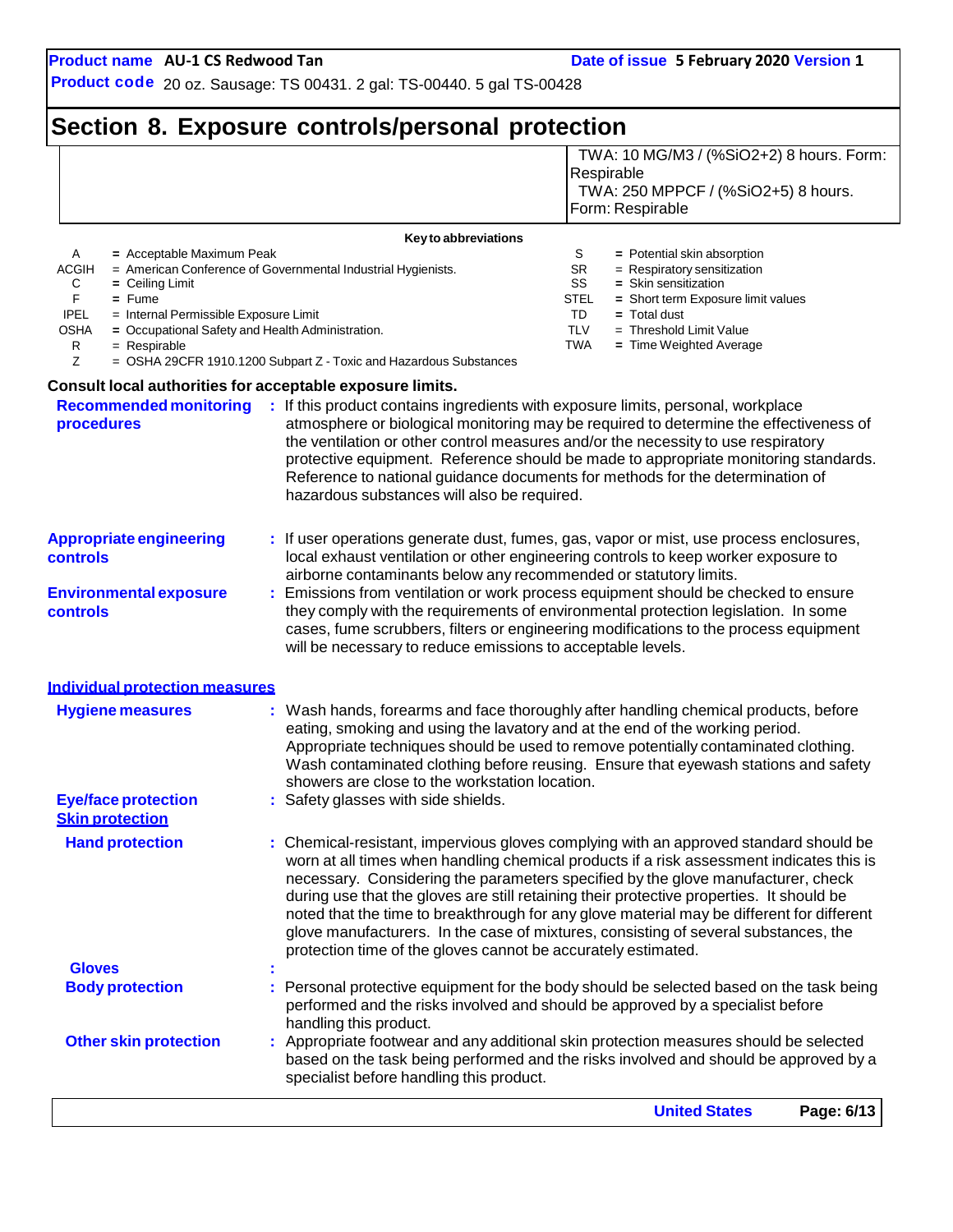**Product code** 20 oz. Sausage: TS 00431. 2 gal: TS-00440. 5 gal TS-00428

# **Section 8. Exposure controls/personal protection**

|                                      |                                                                                                                         |                                                                                       | <b>United States</b><br>Page: 6/13                                                                                                                                                                                                                                           |
|--------------------------------------|-------------------------------------------------------------------------------------------------------------------------|---------------------------------------------------------------------------------------|------------------------------------------------------------------------------------------------------------------------------------------------------------------------------------------------------------------------------------------------------------------------------|
|                                      | <b>Other skin protection</b>                                                                                            | specialist before handling this product.                                              | : Appropriate footwear and any additional skin protection measures should be selected<br>based on the task being performed and the risks involved and should be approved by a                                                                                                |
|                                      |                                                                                                                         | handling this product.                                                                | performed and the risks involved and should be approved by a specialist before                                                                                                                                                                                               |
|                                      | <b>Body protection</b>                                                                                                  |                                                                                       | Personal protective equipment for the body should be selected based on the task being                                                                                                                                                                                        |
| <b>Gloves</b>                        |                                                                                                                         | protection time of the gloves cannot be accurately estimated.                         | during use that the gloves are still retaining their protective properties. It should be<br>noted that the time to breakthrough for any glove material may be different for different<br>glove manufacturers. In the case of mixtures, consisting of several substances, the |
|                                      | <b>Hand protection</b>                                                                                                  |                                                                                       | : Chemical-resistant, impervious gloves complying with an approved standard should be<br>worn at all times when handling chemical products if a risk assessment indicates this is<br>necessary. Considering the parameters specified by the glove manufacturer, check        |
|                                      | <b>Eye/face protection</b><br><b>Skin protection</b>                                                                    | showers are close to the workstation location.<br>: Safety glasses with side shields. | Appropriate techniques should be used to remove potentially contaminated clothing.<br>Wash contaminated clothing before reusing. Ensure that eyewash stations and safety                                                                                                     |
|                                      | <b>Individual protection measures</b><br><b>Hygiene measures</b>                                                        |                                                                                       | Wash hands, forearms and face thoroughly after handling chemical products, before<br>eating, smoking and using the lavatory and at the end of the working period.                                                                                                            |
| controls                             |                                                                                                                         | will be necessary to reduce emissions to acceptable levels.                           | they comply with the requirements of environmental protection legislation. In some<br>cases, fume scrubbers, filters or engineering modifications to the process equipment                                                                                                   |
|                                      | <b>Environmental exposure</b>                                                                                           |                                                                                       | Emissions from ventilation or work process equipment should be checked to ensure                                                                                                                                                                                             |
| <b>controls</b>                      | <b>Appropriate engineering</b>                                                                                          | airborne contaminants below any recommended or statutory limits.                      | : If user operations generate dust, fumes, gas, vapor or mist, use process enclosures,<br>local exhaust ventilation or other engineering controls to keep worker exposure to                                                                                                 |
|                                      |                                                                                                                         | hazardous substances will also be required.                                           | protective equipment. Reference should be made to appropriate monitoring standards.<br>Reference to national guidance documents for methods for the determination of                                                                                                         |
| procedures                           | <b>Recommended monitoring</b>                                                                                           | Consult local authorities for acceptable exposure limits.                             | : If this product contains ingredients with exposure limits, personal, workplace<br>atmosphere or biological monitoring may be required to determine the effectiveness of<br>the ventilation or other control measures and/or the necessity to use respiratory               |
| Ζ                                    |                                                                                                                         | = OSHA 29CFR 1910.1200 Subpart Z - Toxic and Hazardous Substances                     |                                                                                                                                                                                                                                                                              |
| F<br><b>IPEL</b><br><b>OSHA</b><br>R | $=$ Fume<br>= Internal Permissible Exposure Limit<br>= Occupational Safety and Health Administration.<br>$=$ Respirable |                                                                                       | STEL<br>= Short term Exposure limit values<br>TD<br>$=$ Total dust<br><b>TLV</b><br>$=$ Threshold Limit Value<br><b>TWA</b><br>= Time Weighted Average                                                                                                                       |
| <b>ACGIH</b><br>C                    | $=$ Ceiling Limit                                                                                                       | = American Conference of Governmental Industrial Hygienists.                          | <b>SR</b><br>= Respiratory sensitization<br>SS<br>= Skin sensitization                                                                                                                                                                                                       |
| A                                    | = Acceptable Maximum Peak                                                                                               | Key to abbreviations                                                                  | S<br>$=$ Potential skin absorption                                                                                                                                                                                                                                           |
|                                      |                                                                                                                         |                                                                                       | Respirable<br>TWA: 250 MPPCF / (%SiO2+5) 8 hours.<br>Form: Respirable                                                                                                                                                                                                        |
|                                      |                                                                                                                         |                                                                                       | TWA: 10 MG/M3 / (%SiO2+2) 8 hours. Form:                                                                                                                                                                                                                                     |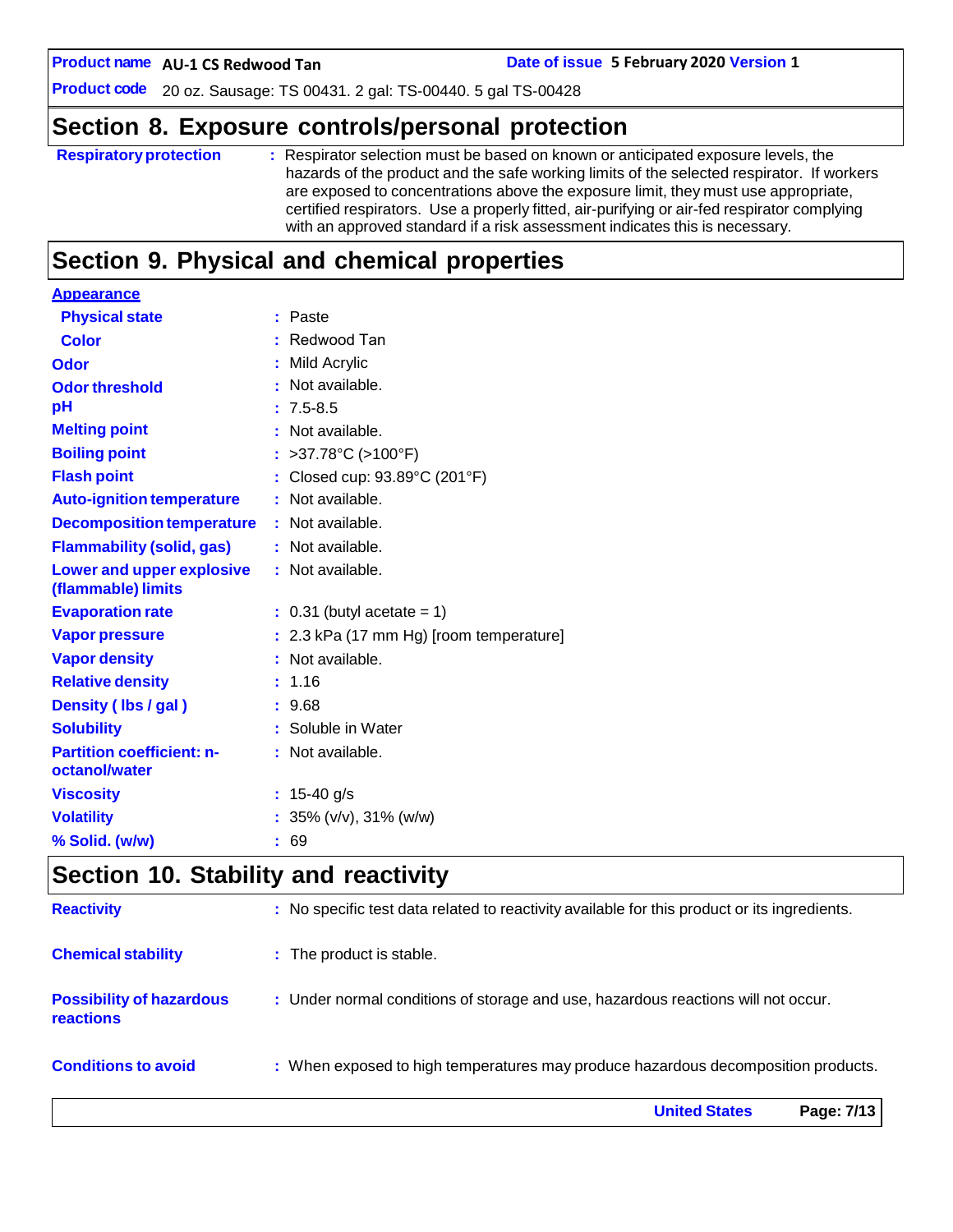**Date of issue 5 February 2020 Version 1** 

**Product code** 20 oz. Sausage: TS 00431. 2 gal: TS-00440. 5 gal TS-00428

### **Section 8. Exposure controls/personal protection**

```
Respiratoryprotection : Respirator selection must be based on known or anticipated exposure levels, the
                     hazards of the product and the safe working limits of the selected respirator. If workers
                     are exposed to concentrations above the exposure limit, they must use appropriate,
                     certified respirators. Use a properly fitted, air-purifying or air-fed respirator complying
                     with an approved standard if a risk assessment indicates this is necessary.
```
### **Section 9. Physical and chemical properties**

| <b>Appearance</b>                                      |                                         |
|--------------------------------------------------------|-----------------------------------------|
| <b>Physical state</b>                                  | : Paste                                 |
| <b>Color</b>                                           | Redwood Tan                             |
| Odor                                                   | Mild Acrylic                            |
| <b>Odor threshold</b>                                  | : Not available.                        |
| рH                                                     | $: 7.5 - 8.5$                           |
| <b>Melting point</b>                                   | : Not available.                        |
| <b>Boiling point</b>                                   | : >37.78°C (>100°F)                     |
| <b>Flash point</b>                                     | Closed cup: 93.89°C (201°F)             |
| <b>Auto-ignition temperature</b>                       | : Not available.                        |
| <b>Decomposition temperature</b>                       | : Not available.                        |
| <b>Flammability (solid, gas)</b>                       | : Not available.                        |
| <b>Lower and upper explosive</b><br>(flammable) limits | : Not available.                        |
| <b>Evaporation rate</b>                                | $\therefore$ 0.31 (butyl acetate = 1)   |
| <b>Vapor pressure</b>                                  | : 2.3 kPa (17 mm Hg) [room temperature] |
| <b>Vapor density</b>                                   | : Not available.                        |
| <b>Relative density</b>                                | : 1.16                                  |
| Density (Ibs / gal)                                    | : 9.68                                  |
| <b>Solubility</b>                                      | : Soluble in Water                      |
| <b>Partition coefficient: n-</b>                       | : Not available.                        |
| octanol/water                                          |                                         |
| <b>Viscosity</b>                                       | : $15-40$ g/s                           |
| <b>Volatility</b>                                      | : $35\%$ (v/v), $31\%$ (w/w)            |
| % Solid. (w/w)                                         | : 69                                    |

### **Section 10. Stability and reactivity**

|                                                     | <b>United States</b><br>Page: 7/13                                                           |
|-----------------------------------------------------|----------------------------------------------------------------------------------------------|
| <b>Conditions to avoid</b>                          | : When exposed to high temperatures may produce hazardous decomposition products.            |
| <b>Possibility of hazardous</b><br><b>reactions</b> | : Under normal conditions of storage and use, hazardous reactions will not occur.            |
| <b>Chemical stability</b>                           | : The product is stable.                                                                     |
| <b>Reactivity</b>                                   | : No specific test data related to reactivity available for this product or its ingredients. |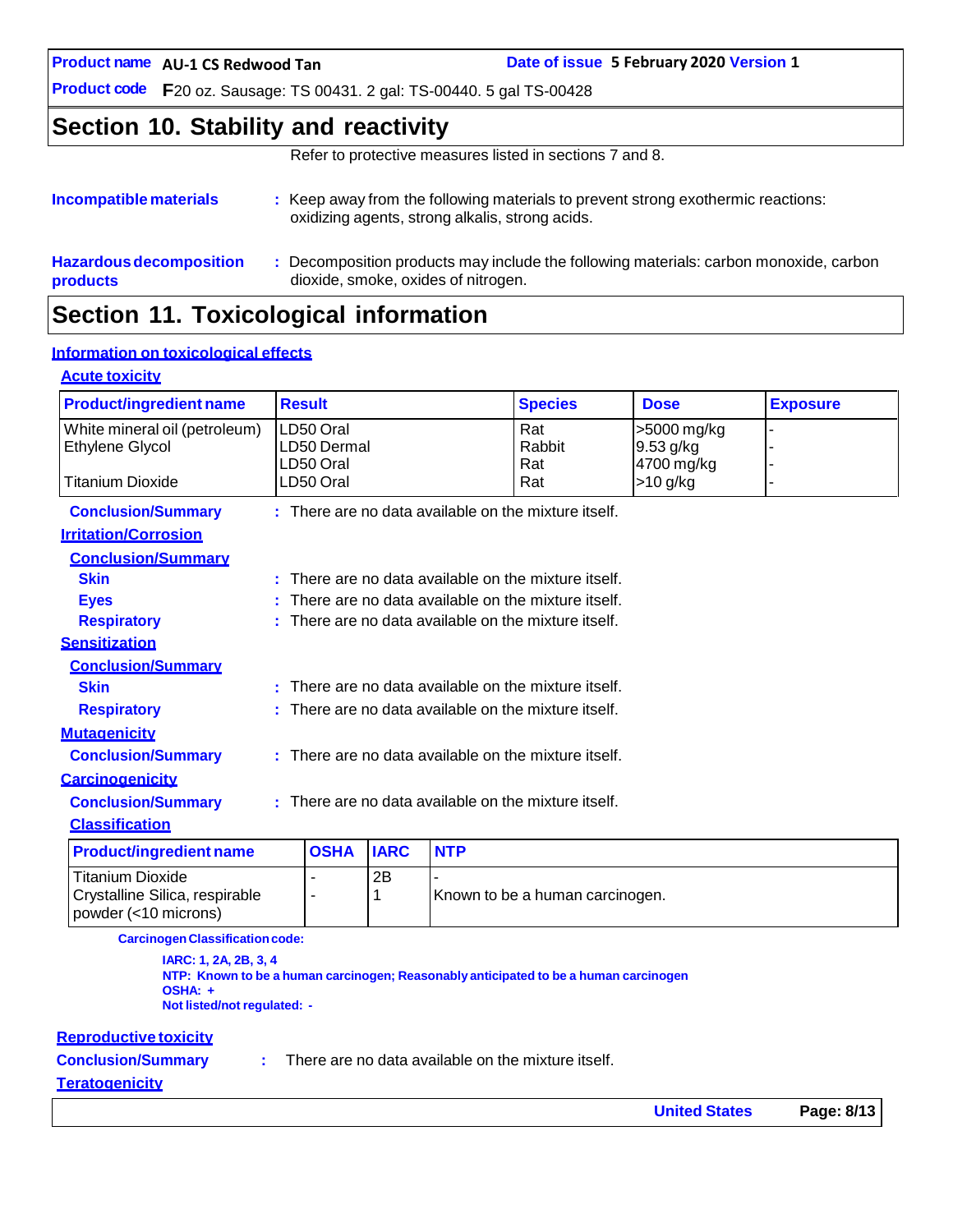**AU-1 CS Redwood Tan Date of issue 5 February 2020 Version 1**

**Product code F**20 oz. Sausage: TS 00431. 2 gal: TS-00440. 5 gal TS-00428

### **Section 10. Stability and reactivity**

Refer to protective measures listed in sections 7 and 8.

| Incompatible materials                            | : Keep away from the following materials to prevent strong exothermic reactions:<br>oxidizing agents, strong alkalis, strong acids. |
|---------------------------------------------------|-------------------------------------------------------------------------------------------------------------------------------------|
| <b>Hazardous decomposition</b><br><b>products</b> | : Decomposition products may include the following materials: carbon monoxide, carbon<br>dioxide, smoke, oxides of nitrogen.        |

# **Section 11. Toxicological information**

#### **Information on toxicological effects**

#### **Acute toxicity**

| <b>Product/ingredient name</b>                         |                                                      | <b>Result</b>  |             |            | <b>Species</b>                                         | <b>Dose</b> | <b>Exposure</b> |
|--------------------------------------------------------|------------------------------------------------------|----------------|-------------|------------|--------------------------------------------------------|-------------|-----------------|
| White mineral oil (petroleum)                          |                                                      | LD50 Oral      |             |            | Rat                                                    | >5000 mg/kg |                 |
| Ethylene Glycol                                        |                                                      | LD50 Dermal    |             |            | Rabbit                                                 | 9.53 g/kg   |                 |
|                                                        |                                                      | LD50 Oral      |             |            | Rat                                                    | 4700 mg/kg  |                 |
| <b>Titanium Dioxide</b>                                |                                                      | LD50 Oral      |             |            | Rat                                                    | $>10$ g/kg  | -               |
| <b>Conclusion/Summary</b>                              |                                                      |                |             |            | : There are no data available on the mixture itself.   |             |                 |
| <b>Irritation/Corrosion</b>                            |                                                      |                |             |            |                                                        |             |                 |
| <b>Conclusion/Summary</b>                              |                                                      |                |             |            |                                                        |             |                 |
| <b>Skin</b>                                            |                                                      |                |             |            | : There are no data available on the mixture itself.   |             |                 |
| <b>Eyes</b>                                            |                                                      |                |             |            | : There are no data available on the mixture itself.   |             |                 |
| <b>Respiratory</b>                                     |                                                      |                |             |            | $:$ There are no data available on the mixture itself. |             |                 |
| <b>Sensitization</b>                                   |                                                      |                |             |            |                                                        |             |                 |
| <b>Conclusion/Summary</b>                              |                                                      |                |             |            |                                                        |             |                 |
| <b>Skin</b>                                            |                                                      |                |             |            | $:$ There are no data available on the mixture itself. |             |                 |
| <b>Respiratory</b>                                     |                                                      |                |             |            | There are no data available on the mixture itself.     |             |                 |
| <b>Mutagenicity</b>                                    |                                                      |                |             |            |                                                        |             |                 |
| <b>Conclusion/Summary</b>                              |                                                      |                |             |            | : There are no data available on the mixture itself.   |             |                 |
| <b>Carcinogenicity</b>                                 |                                                      |                |             |            |                                                        |             |                 |
| <b>Conclusion/Summary</b>                              | : There are no data available on the mixture itself. |                |             |            |                                                        |             |                 |
| <b>Classification</b>                                  |                                                      |                |             |            |                                                        |             |                 |
| <b>Product/ingredient name</b>                         |                                                      | <b>OSHA</b>    | <b>IARC</b> | <b>NTP</b> |                                                        |             |                 |
| <b>Titanium Dioxide</b>                                |                                                      | ä,             | 2B          |            |                                                        |             |                 |
| Crystalline Silica, respirable<br>powder (<10 microns) |                                                      | $\blacksquare$ | 1           |            | Known to be a human carcinogen.                        |             |                 |

**CarcinogenClassificationcode:**

**IARC: 1, 2A, 2B, 3, 4 NTP: Known to be a human carcinogen; Reasonably anticipated to be a human carcinogen OSHA: + Not listed/not regulated: -**

#### **Reproductive toxicity**

**Conclusion/Summary :**

There are no data available on the mixture itself.

#### **Teratogenicity**

| <b>United States</b> | Page: 8/13 |
|----------------------|------------|
|----------------------|------------|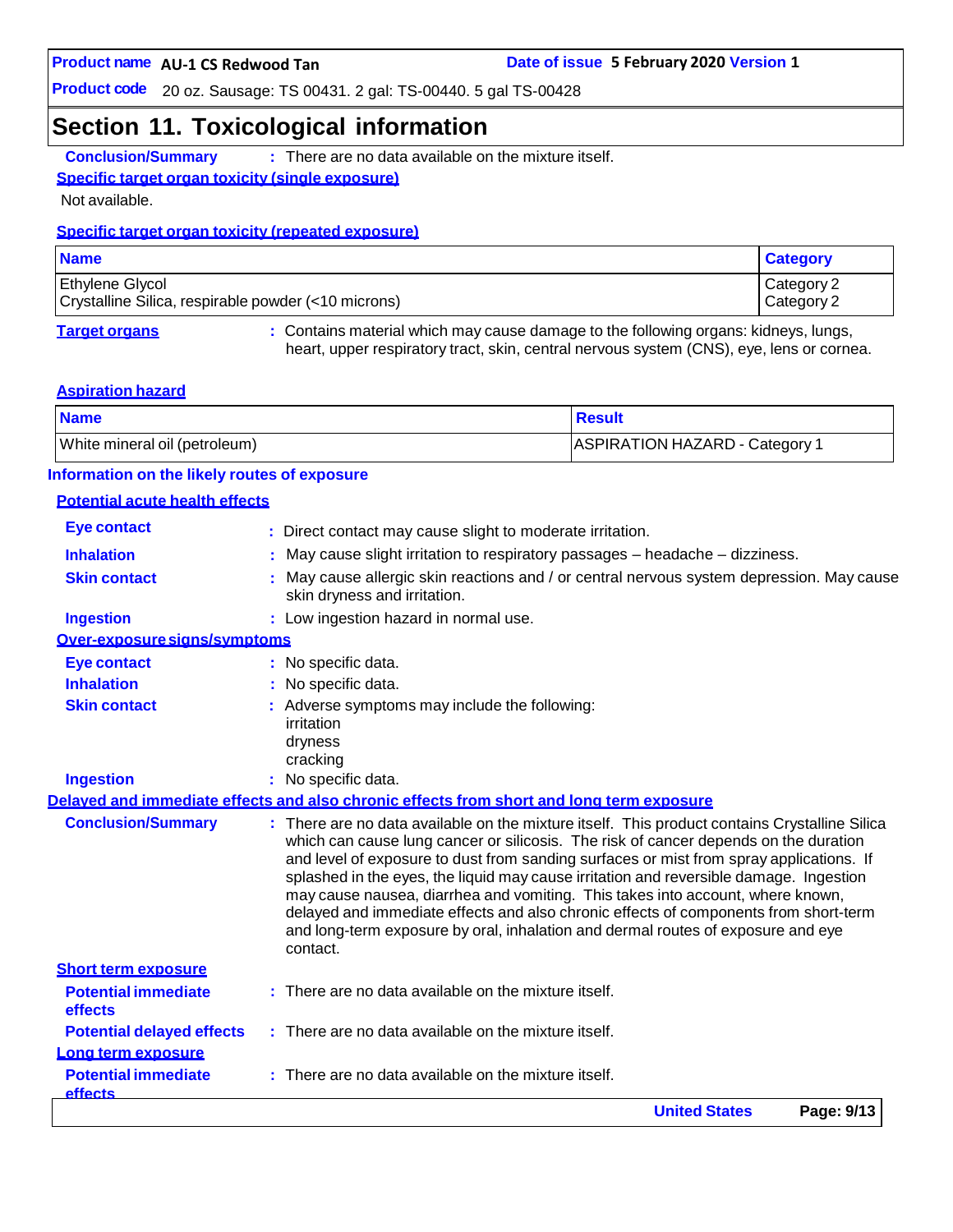**Product code** 20 oz. Sausage: TS 00431. 2 gal: TS-00440. 5 gal TS-00428

### **Section 11. Toxicological information**

**Conclusion/Summary :** There are no data available on the mixture itself.

#### **Specific target organ toxicity (single exposure)**

Not available.

#### **Specific target organ toxicity (repeated exposure)**

| <b>Name</b>                                                                   | <b>Category</b>          |
|-------------------------------------------------------------------------------|--------------------------|
| <b>Ethylene Glycol</b><br>Crystalline Silica, respirable powder (<10 microns) | Category 2<br>Category 2 |
|                                                                               |                          |

**Target organs :** Contains material which may cause damage to the following organs: kidneys, lungs, heart, upper respiratory tract, skin, central nervous system (CNS), eye, lens or cornea.

#### **Aspiration hazard**

| <b>Name</b>                   | <b>Result</b>                  |
|-------------------------------|--------------------------------|
| White mineral oil (petroleum) | ASPIRATION HAZARD - Category 1 |

#### **Information on the likely routes of exposure**

#### **Potential acute health effects**

|                                              | <b>United States</b><br>Page: 9/13                                                                                                                                                                                                                                                                                                                                                                                                                                                                                                                                                                                                       |
|----------------------------------------------|------------------------------------------------------------------------------------------------------------------------------------------------------------------------------------------------------------------------------------------------------------------------------------------------------------------------------------------------------------------------------------------------------------------------------------------------------------------------------------------------------------------------------------------------------------------------------------------------------------------------------------------|
| <b>Potential immediate</b><br><b>effects</b> | There are no data available on the mixture itself.                                                                                                                                                                                                                                                                                                                                                                                                                                                                                                                                                                                       |
| Long term exposure                           |                                                                                                                                                                                                                                                                                                                                                                                                                                                                                                                                                                                                                                          |
| <b>Potential delayed effects</b>             | : There are no data available on the mixture itself.                                                                                                                                                                                                                                                                                                                                                                                                                                                                                                                                                                                     |
| effects                                      |                                                                                                                                                                                                                                                                                                                                                                                                                                                                                                                                                                                                                                          |
| <b>Potential immediate</b>                   | $:$ There are no data available on the mixture itself.                                                                                                                                                                                                                                                                                                                                                                                                                                                                                                                                                                                   |
| <b>Short term exposure</b>                   | contact.                                                                                                                                                                                                                                                                                                                                                                                                                                                                                                                                                                                                                                 |
| <b>Conclusion/Summary</b>                    | : There are no data available on the mixture itself. This product contains Crystalline Silica<br>which can cause lung cancer or silicosis. The risk of cancer depends on the duration<br>and level of exposure to dust from sanding surfaces or mist from spray applications. If<br>splashed in the eyes, the liquid may cause irritation and reversible damage. Ingestion<br>may cause nausea, diarrhea and vomiting. This takes into account, where known,<br>delayed and immediate effects and also chronic effects of components from short-term<br>and long-term exposure by oral, inhalation and dermal routes of exposure and eye |
|                                              | Delaved and immediate effects and also chronic effects from short and long term exposure                                                                                                                                                                                                                                                                                                                                                                                                                                                                                                                                                 |
| <b>Ingestion</b>                             | : No specific data.                                                                                                                                                                                                                                                                                                                                                                                                                                                                                                                                                                                                                      |
|                                              | irritation<br>dryness<br>cracking                                                                                                                                                                                                                                                                                                                                                                                                                                                                                                                                                                                                        |
| <b>Skin contact</b>                          | : Adverse symptoms may include the following:                                                                                                                                                                                                                                                                                                                                                                                                                                                                                                                                                                                            |
| <b>Inhalation</b>                            | No specific data.                                                                                                                                                                                                                                                                                                                                                                                                                                                                                                                                                                                                                        |
| <b>Eye contact</b>                           | : No specific data.                                                                                                                                                                                                                                                                                                                                                                                                                                                                                                                                                                                                                      |
| Over-exposure signs/symptoms                 |                                                                                                                                                                                                                                                                                                                                                                                                                                                                                                                                                                                                                                          |
| <b>Ingestion</b>                             | : Low ingestion hazard in normal use.                                                                                                                                                                                                                                                                                                                                                                                                                                                                                                                                                                                                    |
| <b>Skin contact</b>                          | May cause allergic skin reactions and / or central nervous system depression. May cause<br>skin dryness and irritation.                                                                                                                                                                                                                                                                                                                                                                                                                                                                                                                  |
| <b>Inhalation</b>                            | May cause slight irritation to respiratory passages - headache - dizziness.                                                                                                                                                                                                                                                                                                                                                                                                                                                                                                                                                              |
| <b>Eye contact</b>                           | : Direct contact may cause slight to moderate irritation.                                                                                                                                                                                                                                                                                                                                                                                                                                                                                                                                                                                |
|                                              |                                                                                                                                                                                                                                                                                                                                                                                                                                                                                                                                                                                                                                          |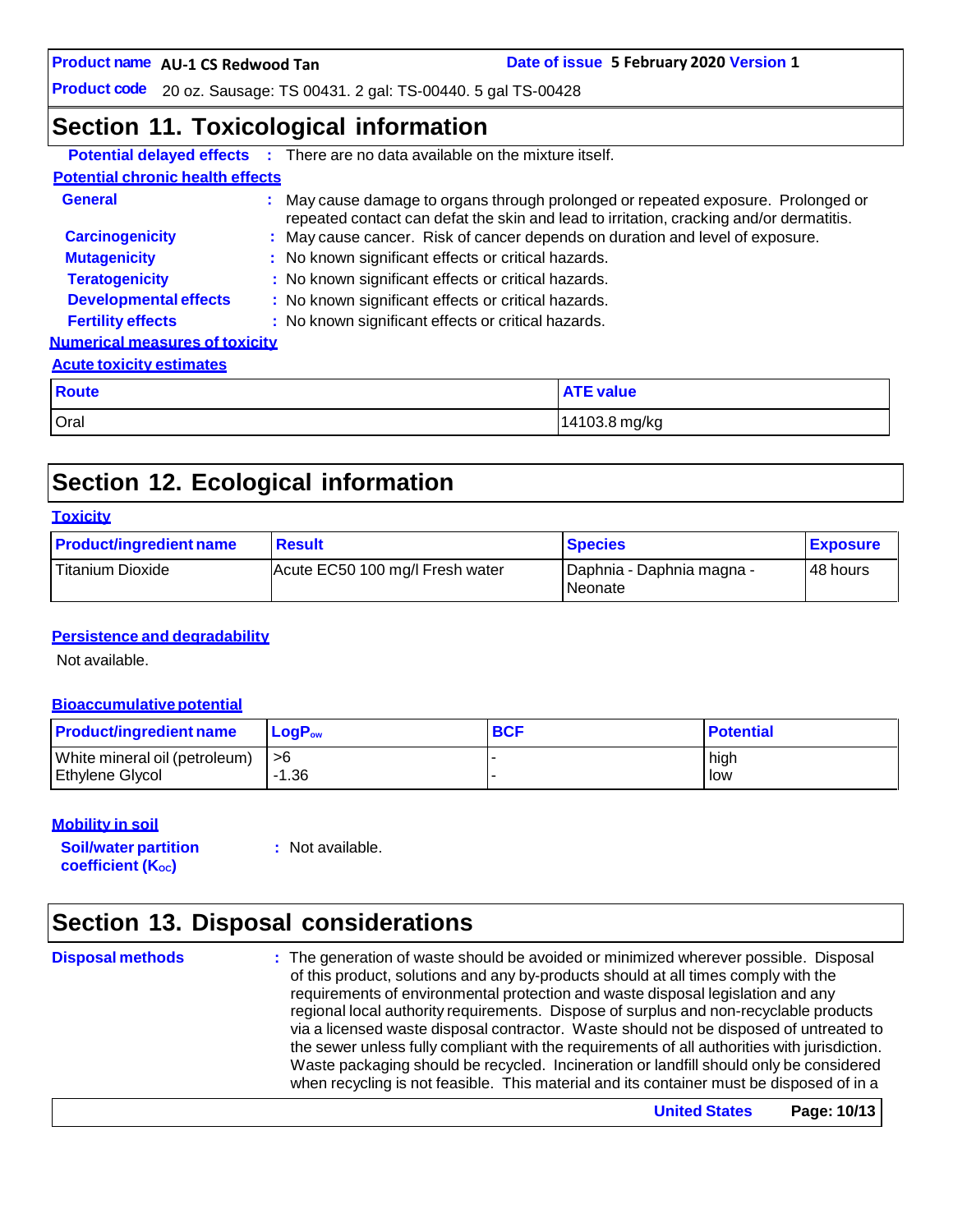**Date of issue 5 February 2020 Version 1** 

**Product code** 20 oz. Sausage: TS 00431. 2 gal: TS-00440. 5 gal TS-00428

### **Section 11. Toxicological information**

|                                         |               | <b>Potential delayed effects :</b> There are no data available on the mixture itself.                                                                                        |                  |  |  |
|-----------------------------------------|---------------|------------------------------------------------------------------------------------------------------------------------------------------------------------------------------|------------------|--|--|
| <b>Potential chronic health effects</b> |               |                                                                                                                                                                              |                  |  |  |
| <b>General</b>                          |               | : May cause damage to organs through prolonged or repeated exposure. Prolonged or<br>repeated contact can defat the skin and lead to irritation, cracking and/or dermatitis. |                  |  |  |
| <b>Carcinogenicity</b>                  |               | : May cause cancer. Risk of cancer depends on duration and level of exposure.                                                                                                |                  |  |  |
| <b>Mutagenicity</b>                     |               | : No known significant effects or critical hazards.                                                                                                                          |                  |  |  |
| <b>Teratogenicity</b>                   |               | : No known significant effects or critical hazards.                                                                                                                          |                  |  |  |
| <b>Developmental effects</b>            |               | : No known significant effects or critical hazards.                                                                                                                          |                  |  |  |
| <b>Fertility effects</b>                |               | : No known significant effects or critical hazards.                                                                                                                          |                  |  |  |
| <b>Numerical measures of toxicity</b>   |               |                                                                                                                                                                              |                  |  |  |
| <b>Acute toxicity estimates</b>         |               |                                                                                                                                                                              |                  |  |  |
| <b>Route</b>                            |               |                                                                                                                                                                              | <b>ATE value</b> |  |  |
| Oral                                    | 14103.8 mg/kg |                                                                                                                                                                              |                  |  |  |

# **Section 12. Ecological information**

#### **Toxicity**

| <b>Product/ingredient name</b> | <b>Result</b>                   | <b>Species</b>                         | <b>Exposure</b> |
|--------------------------------|---------------------------------|----------------------------------------|-----------------|
| <b>Titanium Dioxide</b>        | Acute EC50 100 mg/l Fresh water | I Daphnia - Daphnia magna -<br>Neonate | 48 hours        |

#### **Persistence and degradability**

Not available.

#### **Bioaccumulative potential**

| <b>Product/ingredient name</b> | $LoaPow$ | <b>BCF</b> | <b>Potential</b> |
|--------------------------------|----------|------------|------------------|
| White mineral oil (petroleum)  | l >6     |            | high             |
| Ethylene Glycol                | -1.36    |            | low              |

#### **Mobility in soil**

**Soil/water partition coefficient** (K<sub>oc</sub>)

**:** Not available.

# **Section 13. Disposal considerations**

**Disposal methods :** The generation of waste should be avoided or minimized wherever possible. Disposal of this product, solutions and any by-products should at all times comply with the requirements of environmental protection and waste disposal legislation and any regional local authority requirements. Dispose of surplus and non-recyclable products via a licensed waste disposal contractor. Waste should not be disposed of untreated to the sewer unless fully compliant with the requirements of all authorities with jurisdiction. Waste packaging should be recycled. Incineration or landfill should only be considered when recycling is not feasible. This material and its container must be disposed of in a

**United States Page: 10/13**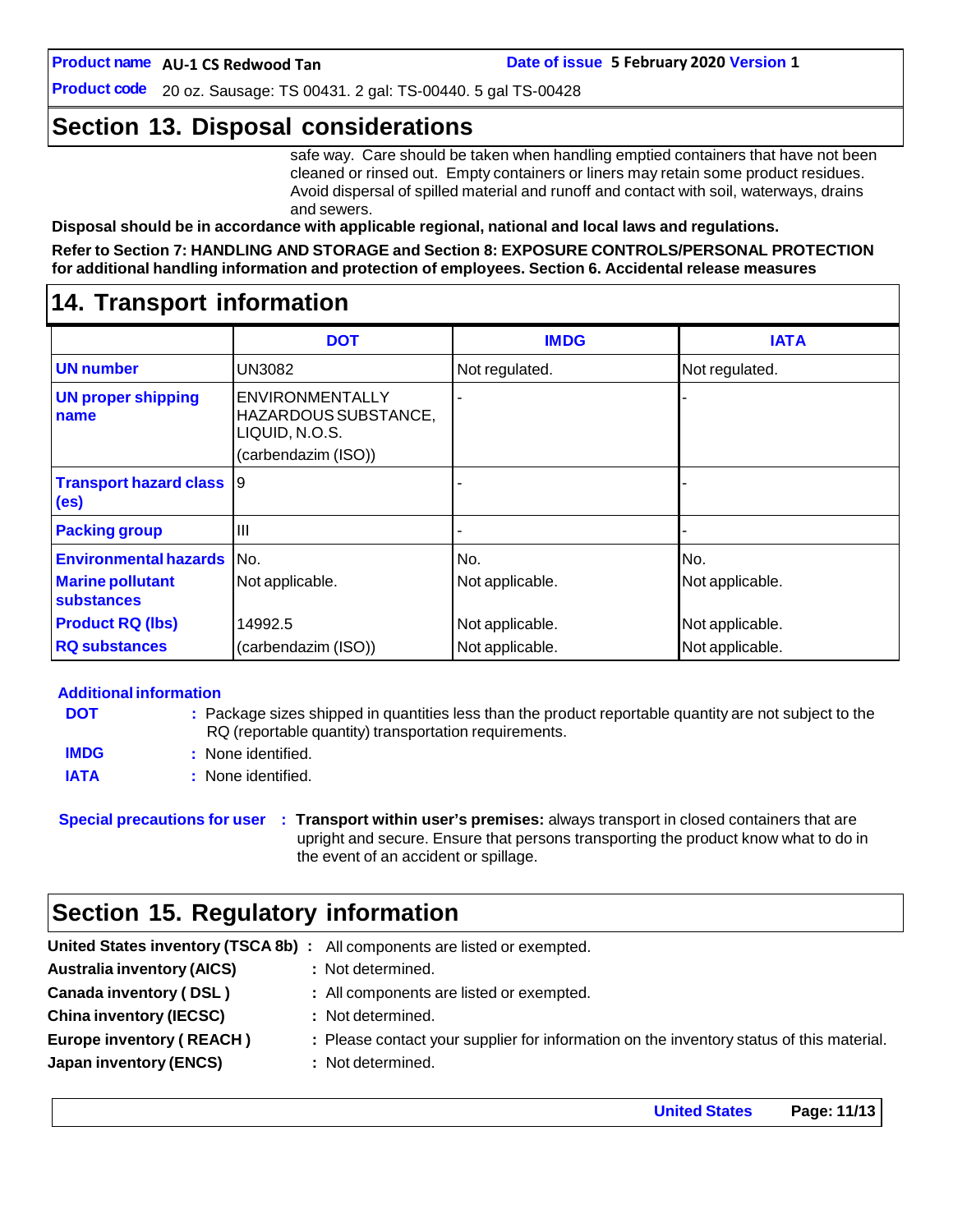**Product code** 20 oz. Sausage: TS 00431. 2 gal: TS-00440. 5 gal TS-00428

## **Section 13. Disposal considerations**

safe way. Care should be taken when handling emptied containers that have not been cleaned or rinsed out. Empty containers or liners may retain some product residues. Avoid dispersal of spilled material and runoff and contact with soil, waterways, drains and sewers.

**Disposal should be in accordance with applicable regional, national and local laws and regulations.**

**Refer to Section 7: HANDLING AND STORAGE and Section 8: EXPOSURE CONTROLS/PERSONAL PROTECTION for additional handling information and protection of employees. Section 6. Accidental release measures**

### **14. Transport information**

|                                                    | <b>DOT</b>                                                                       | <b>IMDG</b>     | <b>IATA</b>     |
|----------------------------------------------------|----------------------------------------------------------------------------------|-----------------|-----------------|
| <b>UN</b> number                                   | <b>UN3082</b>                                                                    | Not regulated.  | Not regulated.  |
| <b>UN proper shipping</b><br>name                  | ENVIRONMENTALLY<br>HAZARDOUS SUBSTANCE,<br>LIQUID, N.O.S.<br>(carbendazim (ISO)) |                 |                 |
| <b>Transport hazard class</b><br>(e <sub>s</sub> ) | Ι9                                                                               |                 |                 |
| <b>Packing group</b>                               | Ш                                                                                |                 |                 |
| <b>Environmental hazards</b>                       | No.                                                                              | No.             | No.             |
| <b>Marine pollutant</b><br><b>substances</b>       | Not applicable.                                                                  | Not applicable. | Not applicable. |
| <b>Product RQ (lbs)</b>                            | 14992.5                                                                          | Not applicable. | Not applicable. |
| <b>RQ substances</b>                               | (carbendazim (ISO))                                                              | Not applicable. | Not applicable. |

#### **Additional information**

| <b>DOT</b>  | : Package sizes shipped in quantities less than the product reportable quantity are not subject to the |
|-------------|--------------------------------------------------------------------------------------------------------|
|             | RQ (reportable quantity) transportation requirements.                                                  |
| <b>IMDG</b> | : None identified.                                                                                     |
| <b>IATA</b> | : None identified.                                                                                     |

**Special precautions for user : Transport within user's premises:** always transport in closed containers that are upright and secure. Ensure that persons transporting the product know what to do in the event of an accident or spillage.

### **Section 15. Regulatory information**

| <b>Australia inventory (AICS)</b><br>: Not determined.                                                                      |  |
|-----------------------------------------------------------------------------------------------------------------------------|--|
| Canada inventory (DSL)<br>: All components are listed or exempted.                                                          |  |
| <b>China inventory (IECSC)</b><br>: Not determined.                                                                         |  |
| <b>Europe inventory (REACH)</b><br>: Please contact your supplier for information on the inventory status of this material. |  |
| <b>Japan inventory (ENCS)</b><br>: Not determined.                                                                          |  |

**United States Page: 11/13**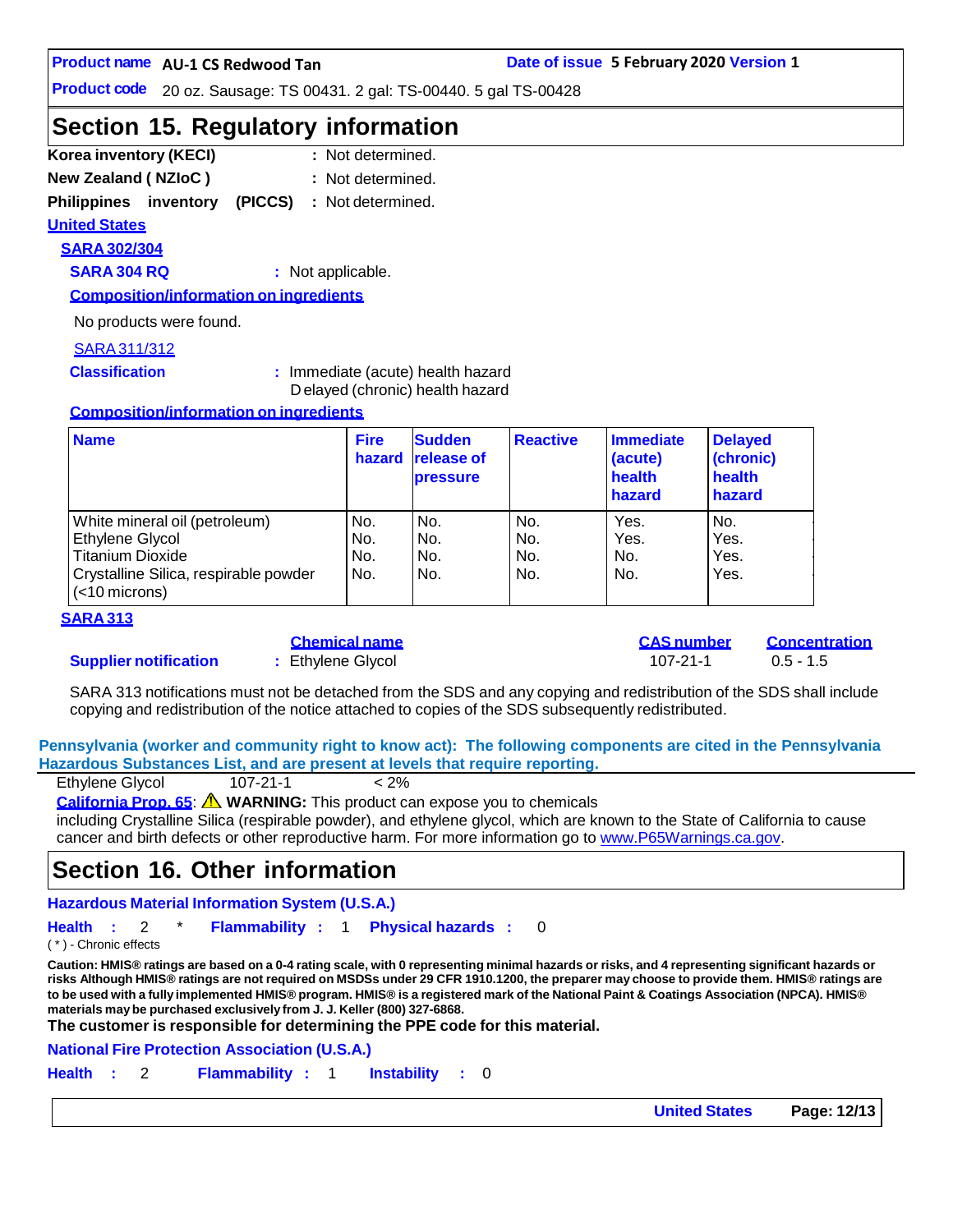**Product code** 20 oz. Sausage: TS 00431. 2 gal: TS-00440. 5 gal TS-00428

### **Section 15. Regulatory information**

- **Korea inventory (KECI) : New Zealand ( NZIoC ) :** : Not determined. : Not determined.
- 

**Philippines inventory (PICCS) :** Not determined.

#### **United States**

**SARA 302/304**

**SARA 304 RQ :** Not applicable.

**Composition/information on ingredients**

No products were found.

#### SARA311/312

**Classification :** Immediate (acute) health hazard D elayed (chronic) health hazard

#### **Composition/information on ingredients**

| <b>Name</b>                                               | <b>Fire</b><br>hazard | <b>Sudden</b><br><b>release of</b><br><b>pressure</b> | <b>Reactive</b> | Immediate<br>(acute)<br>health<br>hazard | <b>Delayed</b><br>(chronic)<br>health<br>hazard |
|-----------------------------------------------------------|-----------------------|-------------------------------------------------------|-----------------|------------------------------------------|-------------------------------------------------|
| White mineral oil (petroleum)                             | No.                   | No.                                                   | No.             | Yes.                                     | No.                                             |
| Ethylene Glycol                                           | No.                   | No.                                                   | No.             | Yes.                                     | Yes.                                            |
| <b>Titanium Dioxide</b>                                   | No.                   | No.                                                   | No.             | No.                                      | Yes.                                            |
| Crystalline Silica, respirable powder<br>$(<$ 10 microns) | No.                   | No.                                                   | No.             | No.                                      | Yes.                                            |

#### **SARA 313**

#### **Supplier notification :** Ethylene Glycol 107-21-1 0.5 - 1.5

**Chemical name CAS number Concentration**

SARA 313 notifications must not be detached from the SDS and any copying and redistribution of the SDS shall include copying and redistribution of the notice attached to copies of the SDS subsequently redistributed.

**Pennsylvania (worker and community right to know act): The following components are cited in the Pennsylvania Hazardous Substances List, and are present at levels that require reporting.**

| Ethylene Glycol | $107 - 21 - 1$ | $< 2\%$ |
|-----------------|----------------|---------|
|                 |                |         |

**California Prop. 65**: **WARNING:** This product can expose you to chemicals

including Crystalline Silica (respirable powder), and ethylene glycol, which are known to the State of California to cause cancer and birth defects or other reproductive harm. For more information go to [www.P65Warnings.ca.gov.](http://www.p65warnings.ca.gov/)

### **Section 16. Other information**

**Hazardous Material Information System (U.S.A.)**

**Health :** 2 \* **Flammability :** 1 **Physical hazards :** 0

( \* ) - Chronic effects

Caution: HMIS® ratings are based on a 0-4 rating scale, with 0 representing minimal hazards or risks, and 4 representing significant hazards or risks Although HMIS® ratings are not required on MSDSs under 29 CFR 1910.1200, the preparer may choose to provide them. HMIS® ratings are to be used with a fully implemented HMIS® program. HMIS® is a registered mark of the National Paint & Coatings Association (NPCA). HMIS® **materials maybe purchased exclusively from J. J. Keller (800) 327-6868.**

**The customer is responsible for determining the PPE code for this material.**

**National Fire Protection Association (U.S.A.)**

**Health :** 2 **Flammability :** 1 **Instability :** 0

**United States Page: 12/13**